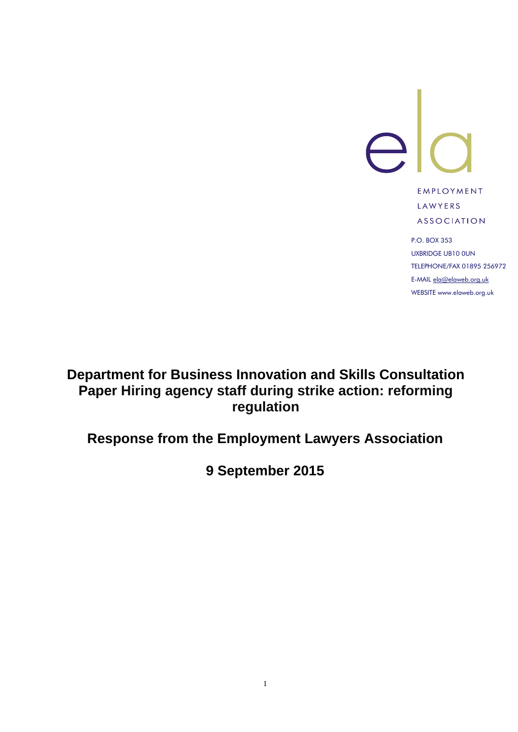

EMPLOYMENT LAWYERS **ASSOCIATION** 

P.O. BOX 353 UXBRIDGE UB10 0UN TELEPHONE/FAX 01895 256972 E-MAIL [ela@elaweb.org.uk](mailto:ela@elaweb.org.uk) WEBSITE www.elaweb.org.uk

## **Department for Business Innovation and Skills Consultation Paper Hiring agency staff during strike action: reforming regulation**

# **Response from the Employment Lawyers Association**

**9 September 2015**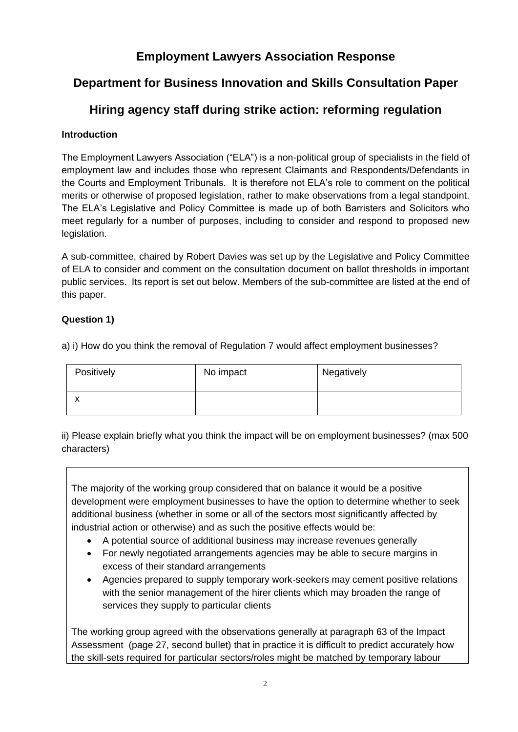### **Employment Lawyers Association Response**

## **Department for Business Innovation and Skills Consultation Paper**

### **Hiring agency staff during strike action: reforming regulation**

#### **Introduction**

The Employment Lawyers Association ("ELA") is a non-political group of specialists in the field of employment law and includes those who represent Claimants and Respondents/Defendants in the Courts and Employment Tribunals. It is therefore not ELA's role to comment on the political merits or otherwise of proposed legislation, rather to make observations from a legal standpoint. The ELA's Legislative and Policy Committee is made up of both Barristers and Solicitors who meet regularly for a number of purposes, including to consider and respond to proposed new legislation.

A sub-committee, chaired by Robert Davies was set up by the Legislative and Policy Committee of ELA to consider and comment on the consultation document on ballot thresholds in important public services. Its report is set out below. Members of the sub-committee are listed at the end of this paper.

#### **Question 1)**

a) i) How do you think the removal of Regulation 7 would affect employment businesses?

| Positively | No impact | Negatively |
|------------|-----------|------------|
| v          |           |            |

ii) Please explain briefly what you think the impact will be on employment businesses? (max 500 characters)

The majority of the working group considered that on balance it would be a positive development were employment businesses to have the option to determine whether to seek additional business (whether in some or all of the sectors most significantly affected by industrial action or otherwise) and as such the positive effects would be:

- A potential source of additional business may increase revenues generally
- For newly negotiated arrangements agencies may be able to secure margins in excess of their standard arrangements
- Agencies prepared to supply temporary work-seekers may cement positive relations with the senior management of the hirer clients which may broaden the range of services they supply to particular clients

The working group agreed with the observations generally at paragraph 63 of the Impact Assessment (page 27, second bullet) that in practice it is difficult to predict accurately how the skill-sets required for particular sectors/roles might be matched by temporary labour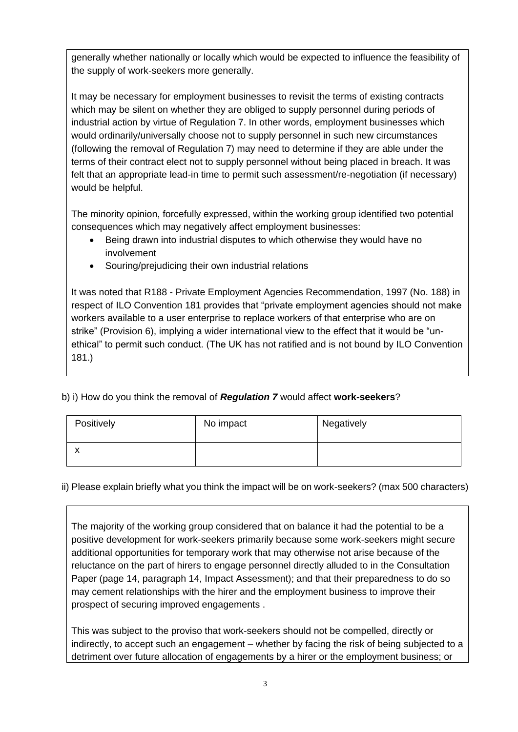generally whether nationally or locally which would be expected to influence the feasibility of the supply of work-seekers more generally.

It may be necessary for employment businesses to revisit the terms of existing contracts which may be silent on whether they are obliged to supply personnel during periods of industrial action by virtue of Regulation 7. In other words, employment businesses which would ordinarily/universally choose not to supply personnel in such new circumstances (following the removal of Regulation 7) may need to determine if they are able under the terms of their contract elect not to supply personnel without being placed in breach. It was felt that an appropriate lead-in time to permit such assessment/re-negotiation (if necessary) would be helpful.

The minority opinion, forcefully expressed, within the working group identified two potential consequences which may negatively affect employment businesses:

- Being drawn into industrial disputes to which otherwise they would have no involvement
- Souring/prejudicing their own industrial relations

It was noted that R188 - Private Employment Agencies Recommendation, 1997 (No. 188) in respect of ILO Convention 181 provides that "private employment agencies should not make workers available to a user enterprise to replace workers of that enterprise who are on strike" (Provision 6), implying a wider international view to the effect that it would be "unethical" to permit such conduct. (The UK has not ratified and is not bound by ILO Convention 181.)

b) i) How do you think the removal of *Regulation 7* would affect **work-seekers**?

| Positively | No impact | Negatively |
|------------|-----------|------------|
| ́          |           |            |

ii) Please explain briefly what you think the impact will be on work-seekers? (max 500 characters)

The majority of the working group considered that on balance it had the potential to be a positive development for work-seekers primarily because some work-seekers might secure additional opportunities for temporary work that may otherwise not arise because of the reluctance on the part of hirers to engage personnel directly alluded to in the Consultation Paper (page 14, paragraph 14, Impact Assessment); and that their preparedness to do so may cement relationships with the hirer and the employment business to improve their prospect of securing improved engagements .

This was subject to the proviso that work-seekers should not be compelled, directly or indirectly, to accept such an engagement – whether by facing the risk of being subjected to a detriment over future allocation of engagements by a hirer or the employment business; or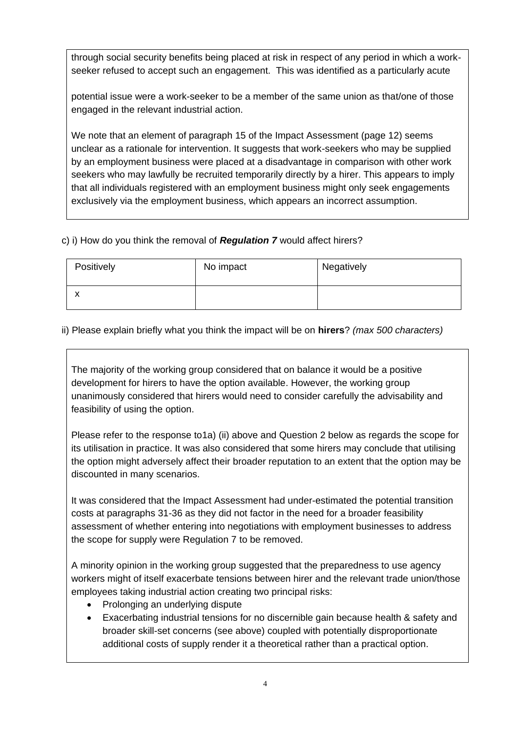through social security benefits being placed at risk in respect of any period in which a workseeker refused to accept such an engagement. This was identified as a particularly acute

potential issue were a work-seeker to be a member of the same union as that/one of those engaged in the relevant industrial action.

We note that an element of paragraph 15 of the Impact Assessment (page 12) seems unclear as a rationale for intervention. It suggests that work-seekers who may be supplied by an employment business were placed at a disadvantage in comparison with other work seekers who may lawfully be recruited temporarily directly by a hirer. This appears to imply that all individuals registered with an employment business might only seek engagements exclusively via the employment business, which appears an incorrect assumption.

#### c) i) How do you think the removal of *Regulation 7* would affect hirers?

| Positively | No impact | Negatively |
|------------|-----------|------------|
| ́          |           |            |

#### ii) Please explain briefly what you think the impact will be on **hirers**? *(max 500 characters)*

The majority of the working group considered that on balance it would be a positive development for hirers to have the option available. However, the working group unanimously considered that hirers would need to consider carefully the advisability and feasibility of using the option.

Please refer to the response to1a) (ii) above and Question 2 below as regards the scope for its utilisation in practice. It was also considered that some hirers may conclude that utilising the option might adversely affect their broader reputation to an extent that the option may be discounted in many scenarios.

It was considered that the Impact Assessment had under-estimated the potential transition costs at paragraphs 31-36 as they did not factor in the need for a broader feasibility assessment of whether entering into negotiations with employment businesses to address the scope for supply were Regulation 7 to be removed.

A minority opinion in the working group suggested that the preparedness to use agency workers might of itself exacerbate tensions between hirer and the relevant trade union/those employees taking industrial action creating two principal risks:

- Prolonging an underlying dispute
- Exacerbating industrial tensions for no discernible gain because health & safety and broader skill-set concerns (see above) coupled with potentially disproportionate additional costs of supply render it a theoretical rather than a practical option.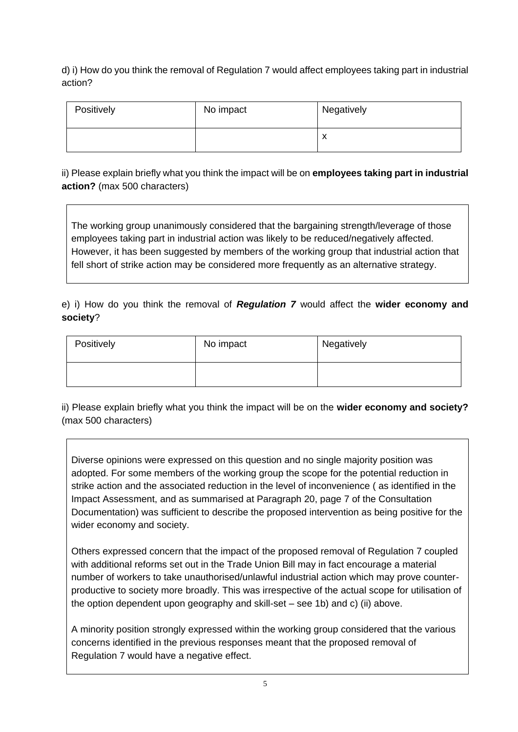d) i) How do you think the removal of Regulation 7 would affect employees taking part in industrial action?

| Positively | No impact | Negatively                            |
|------------|-----------|---------------------------------------|
|            |           | $\overline{\phantom{a}}$<br>$\lambda$ |

ii) Please explain briefly what you think the impact will be on **employees taking part in industrial action?** (max 500 characters)

The working group unanimously considered that the bargaining strength/leverage of those employees taking part in industrial action was likely to be reduced/negatively affected. However, it has been suggested by members of the working group that industrial action that fell short of strike action may be considered more frequently as an alternative strategy.

e) i) How do you think the removal of *Regulation 7* would affect the **wider economy and society**?

| Positively | No impact | Negatively |
|------------|-----------|------------|
|            |           |            |

ii) Please explain briefly what you think the impact will be on the **wider economy and society?** (max 500 characters)

Diverse opinions were expressed on this question and no single majority position was adopted. For some members of the working group the scope for the potential reduction in strike action and the associated reduction in the level of inconvenience ( as identified in the Impact Assessment, and as summarised at Paragraph 20, page 7 of the Consultation Documentation) was sufficient to describe the proposed intervention as being positive for the wider economy and society.

Others expressed concern that the impact of the proposed removal of Regulation 7 coupled with additional reforms set out in the Trade Union Bill may in fact encourage a material number of workers to take unauthorised/unlawful industrial action which may prove counterproductive to society more broadly. This was irrespective of the actual scope for utilisation of the option dependent upon geography and skill-set – see 1b) and c) (ii) above.

A minority position strongly expressed within the working group considered that the various concerns identified in the previous responses meant that the proposed removal of Regulation 7 would have a negative effect.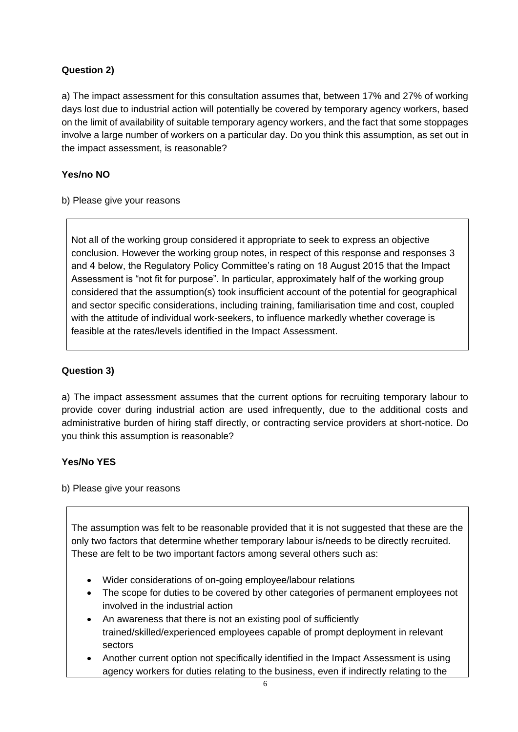#### **Question 2)**

a) The impact assessment for this consultation assumes that, between 17% and 27% of working days lost due to industrial action will potentially be covered by temporary agency workers, based on the limit of availability of suitable temporary agency workers, and the fact that some stoppages involve a large number of workers on a particular day. Do you think this assumption, as set out in the impact assessment, is reasonable?

#### **Yes/no NO**

b) Please give your reasons

Not all of the working group considered it appropriate to seek to express an objective conclusion. However the working group notes, in respect of this response and responses 3 and 4 below, the Regulatory Policy Committee's rating on 18 August 2015 that the Impact Assessment is "not fit for purpose". In particular, approximately half of the working group considered that the assumption(s) took insufficient account of the potential for geographical and sector specific considerations, including training, familiarisation time and cost, coupled with the attitude of individual work-seekers, to influence markedly whether coverage is feasible at the rates/levels identified in the Impact Assessment.

#### **Question 3)**

a) The impact assessment assumes that the current options for recruiting temporary labour to provide cover during industrial action are used infrequently, due to the additional costs and administrative burden of hiring staff directly, or contracting service providers at short-notice. Do you think this assumption is reasonable?

#### **Yes/No YES**

b) Please give your reasons

The assumption was felt to be reasonable provided that it is not suggested that these are the only two factors that determine whether temporary labour is/needs to be directly recruited. These are felt to be two important factors among several others such as:

- Wider considerations of on-going employee/labour relations
- The scope for duties to be covered by other categories of permanent employees not involved in the industrial action
- An awareness that there is not an existing pool of sufficiently trained/skilled/experienced employees capable of prompt deployment in relevant sectors
- Another current option not specifically identified in the Impact Assessment is using agency workers for duties relating to the business, even if indirectly relating to the